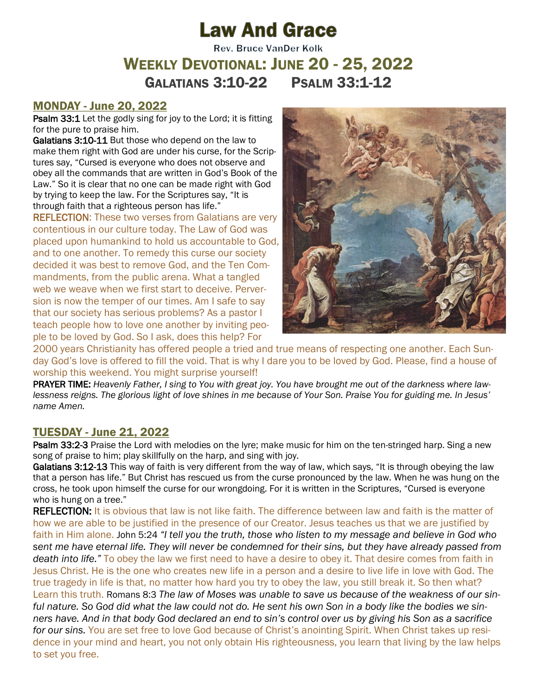# **Law And Grace**

# **Rev. Bruce VanDer Kolk** WEEKLY DEVOTIONAL: JUNE 20 - 25, 2022 GALATIANS 3:10-22 PSALM 33:1-12

#### MONDAY - June 20, 2022

Psalm 33:1 Let the godly sing for joy to the Lord; it is fitting for the pure to praise him.

Galatians 3:10-11 But those who depend on the law to make them right with God are under his curse, for the Scriptures say, "Cursed is everyone who does not observe and obey all the commands that are written in God's Book of the Law." So it is clear that no one can be made right with God by trying to keep the law. For the Scriptures say, "It is through faith that a righteous person has life."

REFLECTION: These two verses from Galatians are very contentious in our culture today. The Law of God was placed upon humankind to hold us accountable to God, and to one another. To remedy this curse our society decided it was best to remove God, and the Ten Commandments, from the public arena. What a tangled web we weave when we first start to deceive. Perversion is now the temper of our times. Am I safe to say that our society has serious problems? As a pastor I teach people how to love one another by inviting people to be loved by God. So I ask, does this help? For



2000 years Christianity has offered people a tried and true means of respecting one another. Each Sunday God's love is offered to fill the void. That is why I dare you to be loved by God. Please, find a house of worship this weekend. You might surprise yourself!

PRAYER TIME: *Heavenly Father, I sing to You with great joy. You have brought me out of the darkness where lawlessness reigns. The glorious light of love shines in me because of Your Son. Praise You for guiding me. In Jesus' name Amen.*

## TUESDAY - June 21, 2022

Psalm 33:2-3 Praise the Lord with melodies on the lyre; make music for him on the ten-stringed harp. Sing a new song of praise to him; play skillfully on the harp, and sing with joy.

Galatians 3:12-13 This way of faith is very different from the way of law, which says, "It is through obeying the law that a person has life." But Christ has rescued us from the curse pronounced by the law. When he was hung on the cross, he took upon himself the curse for our wrongdoing. For it is written in the Scriptures, "Cursed is everyone who is hung on a tree."

REFLECTION: It is obvious that law is not like faith. The difference between law and faith is the matter of how we are able to be justified in the presence of our Creator. Jesus teaches us that we are justified by faith in Him alone. John 5:24 *"I tell you the truth, those who listen to my message and believe in God who sent me have eternal life. They will never be condemned for their sins, but they have already passed from death into life."* To obey the law we first need to have a desire to obey it. That desire comes from faith in Jesus Christ. He is the one who creates new life in a person and a desire to live life in love with God. The true tragedy in life is that, no matter how hard you try to obey the law, you still break it. So then what? Learn this truth. Romans 8:3 *The law of Moses was unable to save us because of the weakness of our sinful nature. So God did what the law could not do. He sent his own Son in a body like the bodies we sinners have. And in that body God declared an end to sin's control over us by giving his Son as a sacrifice for our sins.* You are set free to love God because of Christ's anointing Spirit. When Christ takes up residence in your mind and heart, you not only obtain His righteousness, you learn that living by the law helps to set you free.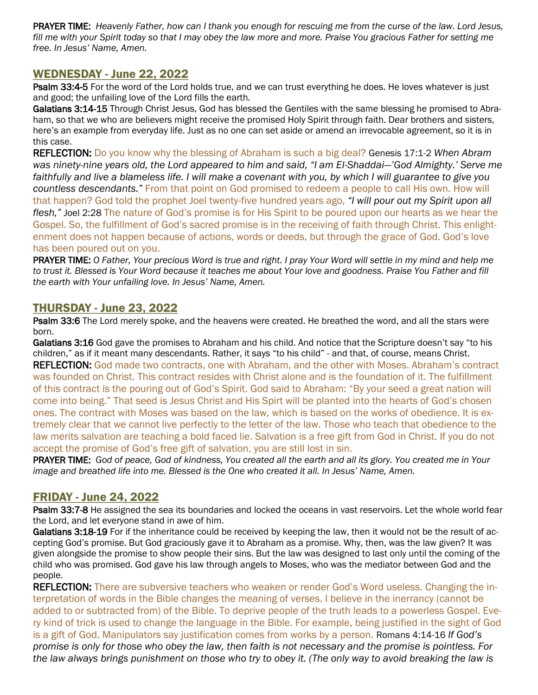PRAYER TIME: *Heavenly Father, how can I thank you enough for rescuing me from the curse of the law. Lord Jesus,*  fill me with your Spirit today so that I may obey the law more and more. Praise You gracious Father for setting me *free. In Jesus' Name, Amen.*

## WEDNESDAY - June 22, 2022

Psalm 33:4-5 For the word of the Lord holds true, and we can trust everything he does. He loves whatever is just and good; the unfailing love of the Lord fills the earth.

Galatians 3:14-15 Through Christ Jesus, God has blessed the Gentiles with the same blessing he promised to Abraham, so that we who are believers might receive the promised Holy Spirit through faith. Dear brothers and sisters, here's an example from everyday life. Just as no one can set aside or amend an irrevocable agreement, so it is in this case.

REFLECTION: Do you know why the blessing of Abraham is such a big deal? Genesis 17:1-2 *When Abram was ninety-nine years old, the Lord appeared to him and said, "I am El-Shaddai—'God Almighty.' Serve me faithfully and live a blameless life. I will make a covenant with you, by which I will guarantee to give you countless descendants."* From that point on God promised to redeem a people to call His own. How will that happen? God told the prophet Joel twenty-five hundred years ago, *"I will pour out my Spirit upon all flesh,"* Joel 2:28 The nature of God's promise is for His Spirit to be poured upon our hearts as we hear the Gospel. So, the fulfillment of God's sacred promise is in the receiving of faith through Christ. This enlightenment does not happen because of actions, words or deeds, but through the grace of God. God's love has been poured out on you.

PRAYER TIME: *O Father, Your precious Word is true and right. I pray Your Word will settle in my mind and help me to trust it. Blessed is Your Word because it teaches me about Your love and goodness. Praise You Father and fill the earth with Your unfailing love. In Jesus' Name, Amen.*

#### THURSDAY - June 23, 2022

Psalm 33:6 The Lord merely spoke, and the heavens were created. He breathed the word, and all the stars were born.

Galatians 3:16 God gave the promises to Abraham and his child. And notice that the Scripture doesn't say "to his children," as if it meant many descendants. Rather, it says "to his child" - and that, of course, means Christ. REFLECTION: God made two contracts, one with Abraham, and the other with Moses. Abraham's contract was founded on Christ. This contract resides with Christ alone and is the foundation of it. The fulfillment of this contract is the pouring out of God's Spirit. God said to Abraham: "By your seed a great nation will come into being." That seed is Jesus Christ and His Spirt will be planted into the hearts of God's chosen ones. The contract with Moses was based on the law, which is based on the works of obedience. It is extremely clear that we cannot live perfectly to the letter of the law. Those who teach that obedience to the law merits salvation are teaching a bold faced lie. Salvation is a free gift from God in Christ. If you do not accept the promise of God's free gift of salvation, you are still lost in sin.

PRAYER TIME: *God of peace, God of kindness, You created all the earth and all its glory. You created me in Your image and breathed life into me. Blessed is the One who created it all. In Jesus' Name, Amen.*

#### FRIDAY - June 24, 2022

Psalm 33:7-8 He assigned the sea its boundaries and locked the oceans in vast reservoirs. Let the whole world fear the Lord, and let everyone stand in awe of him.

Galatians 3:18-19 For if the inheritance could be received by keeping the law, then it would not be the result of accepting God's promise. But God graciously gave it to Abraham as a promise. Why, then, was the law given? It was given alongside the promise to show people their sins. But the law was designed to last only until the coming of the child who was promised. God gave his law through angels to Moses, who was the mediator between God and the people.

**REFLECTION:** There are subversive teachers who weaken or render God's Word useless. Changing the interpretation of words in the Bible changes the meaning of verses. I believe in the inerrancy (cannot be added to or subtracted from) of the Bible. To deprive people of the truth leads to a powerless Gospel. Every kind of trick is used to change the language in the Bible. For example, being justified in the sight of God is a gift of God. Manipulators say justification comes from works by a person. Romans 4:14-16 *If God's promise is only for those who obey the law, then faith is not necessary and the promise is pointless. For the law always brings punishment on those who try to obey it. (The only way to avoid breaking the law is*